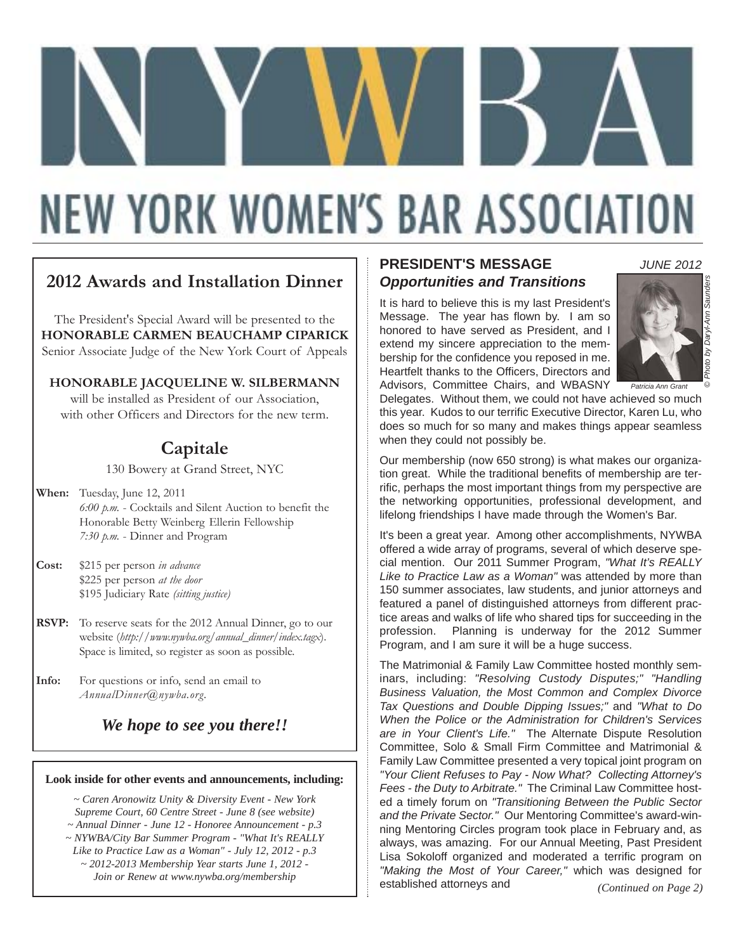# **NEW YORK WOMEN'S BAR ASSOCIATION**

# **2012 Awards and Installation Dinner**

The President's Special Award will be presented to the **HONORABLE CARMEN BEAUCHAMP CIPARICK** Senior Associate Judge of the New York Court of Appeals

**HONORABLE JACQUELINE W. SILBERMANN**  will be installed as President of our Association. with other Officers and Directors for the new term.

# **Capitale**

130 Bowery at Grand Street, NYC

- **When:** Tuesday, June 12, 2011 *6:00 p.m.* - Cocktails and Silent Auction to benefit the Honorable Betty Weinberg Ellerin Fellowship *7:30 p.m.* - Dinner and Program
- **Cost:** \$215 per person *in advance* \$225 per person *at the door* \$195 Judiciary Rate *(sitting justice)*
- **RSVP:** To reserve seats for the 2012 Annual Dinner, go to our website (*http://www.nywba.org/annual\_dinner/index.tagx*). Space is limited, so register as soon as possible.
- **Info:** For questions or info, send an email to *AnnualDinner@nywba.org*.

*We hope to see you there!!*

### **Look inside for other events and announcements, including:**

*~ Caren Aronowitz Unity & Diversity Event - New York Supreme Court, 60 Centre Street - June 8 (see website) ~ Annual Dinner - June 12 - Honoree Announcement - p.3 ~ NYWBA/City Bar Summer Program - "What It's REALLY Like to Practice Law as a Woman" - July 12, 2012 - p.3 ~ 2012-2013 Membership Year starts June 1, 2012 - Join or Renew at www.nywba.org/membership* 

### **PRESIDENT'S MESSAGE** *Opportunities and Transitions*

It is hard to believe this is my last President's Message. The year has flown by. I am so honored to have served as President, and I extend my sincere appreciation to the membership for the confidence you reposed in me. Heartfelt thanks to the Officers, Directors and Advisors, Committee Chairs, and WBASNY



© *Photo by Daryl-Ann Saunders*

by Daryl-Ann Saunder

*JUNE 2012*

*Patricia Ann Grant*

Delegates. Without them, we could not have achieved so much this year. Kudos to our terrific Executive Director, Karen Lu, who does so much for so many and makes things appear seamless when they could not possibly be.

Our membership (now 650 strong) is what makes our organization great. While the traditional benefits of membership are terrific, perhaps the most important things from my perspective are the networking opportunities, professional development, and lifelong friendships I have made through the Women's Bar.

It's been a great year. Among other accomplishments, NYWBA offered a wide array of programs, several of which deserve special mention. Our 2011 Summer Program, *"What It's REALLY Like to Practice Law as a Woman"* was attended by more than 150 summer associates, law students, and junior attorneys and featured a panel of distinguished attorneys from different practice areas and walks of life who shared tips for succeeding in the profession. Planning is underway for the 2012 Summer Program, and I am sure it will be a huge success.

The Matrimonial & Family Law Committee hosted monthly seminars, including: *"Resolving Custody Disputes;" "Handling Business Valuation, the Most Common and Complex Divorce Tax Questions and Double Dipping Issues;"* and *"What to Do When the Police or the Administration for Children's Services are in Your Client's Life."* The Alternate Dispute Resolution Committee, Solo & Small Firm Committee and Matrimonial & Family Law Committee presented a very topical joint program on *"Your Client Refuses to Pay - Now What? Collecting Attorney's Fees - the Duty to Arbitrate."* The Criminal Law Committee hosted a timely forum on *"Transitioning Between the Public Sector and the Private Sector."* Our Mentoring Committee's award-winning Mentoring Circles program took place in February and, as always, was amazing. For our Annual Meeting, Past President Lisa Sokoloff organized and moderated a terrific program on *"Making the Most of Your Career,"* which was designed for established attorneys and *(Continued on Page 2)*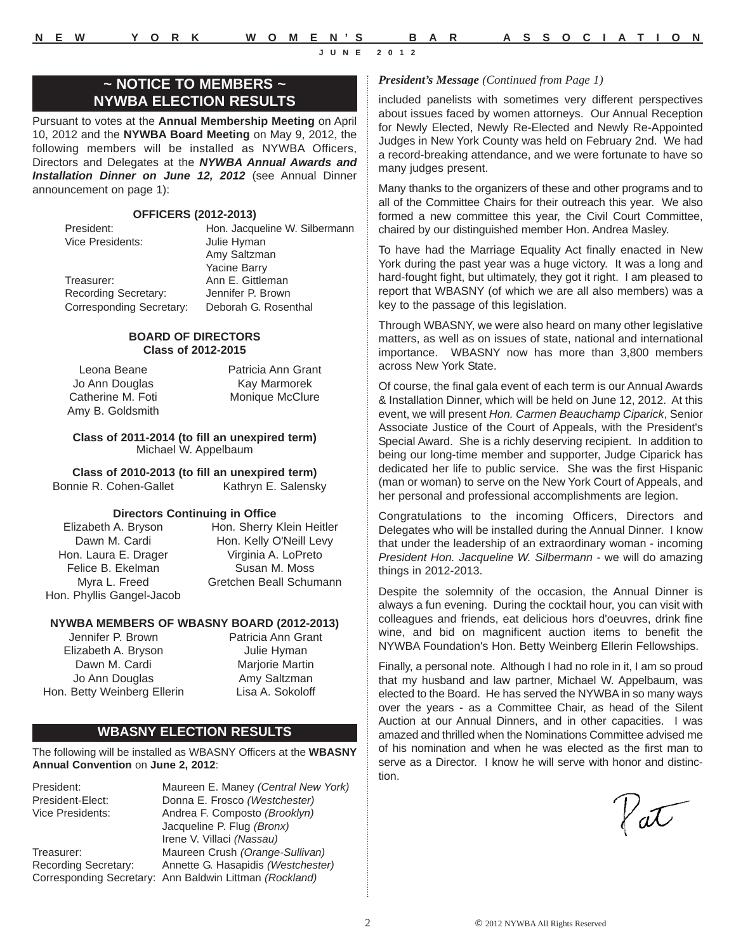### **~ NOTICE TO MEMBERS ~ NYWBA ELECTION RESULTS**

Pursuant to votes at the **Annual Membership Meeting** on April 10, 2012 and the **NYWBA Board Meeting** on May 9, 2012, the following members will be installed as NYWBA Officers, Directors and Delegates at the *NYWBA Annual Awards and Installation Dinner on June 12, 2012* (see Annual Dinner announcement on page 1):

#### **OFFICERS (2012-2013)**

Vice Presidents: Julie Hyman

President: Hon. Jacqueline W. Silbermann Amy Saltzman Yacine Barry Treasurer: Ann E. Gittleman Recording Secretary: Jennifer P. Brown Corresponding Secretary: Deborah G. Rosenthal

### **BOARD OF DIRECTORS Class of 2012-2015**

Leona Beane Jo Ann Douglas Catherine M. Foti Amy B. Goldsmith Patricia Ann Grant Kay Marmorek Monique McClure

#### **Class of 2011-2014 (to fill an unexpired term)** Michael W. Appelbaum

**Class of 2010-2013 (to fill an unexpired term)** Bonnie R. Cohen-Gallet Kathryn E. Salensky

### **Directors Continuing in Office**

Elizabeth A. Bryson Dawn M. Cardi Hon. Laura E. Drager Felice B. Ekelman Myra L. Freed Hon. Phyllis Gangel-Jacob

Hon. Sherry Klein Heitler Hon. Kelly O'Neill Levy Virginia A. LoPreto Susan M. Moss Gretchen Beall Schumann

### **NYWBA MEMBERS OF WBASNY BOARD (2012-2013)**

Jennifer P. Brown Elizabeth A. Bryson Dawn M. Cardi Jo Ann Douglas Hon. Betty Weinberg Ellerin Patricia Ann Grant Julie Hyman Marjorie Martin Amy Saltzman Lisa A. Sokoloff

### **WBASNY ELECTION RESULTS**

The following will be installed as WBASNY Officers at the **WBASNY Annual Convention** on **June 2, 2012**:

President: Maureen E. Maney *(Central New York)* President-Elect: Donna E. Frosco *(Westchester)* Andrea F. Composto *(Brooklyn)* Jacqueline P. Flug *(Bronx)* Irene V. Villaci *(Nassau)* Treasurer: Maureen Crush *(Orange-Sullivan)*  Recording Secretary: Annette G. Hasapidis *(Westchester)*  Corresponding Secretary: Ann Baldwin Littman *(Rockland)*

### *President's Message (Continued from Page 1)*

included panelists with sometimes very different perspectives about issues faced by women attorneys. Our Annual Reception for Newly Elected, Newly Re-Elected and Newly Re-Appointed Judges in New York County was held on February 2nd. We had a record-breaking attendance, and we were fortunate to have so many judges present.

Many thanks to the organizers of these and other programs and to all of the Committee Chairs for their outreach this year. We also formed a new committee this year, the Civil Court Committee, chaired by our distinguished member Hon. Andrea Masley.

To have had the Marriage Equality Act finally enacted in New York during the past year was a huge victory. It was a long and hard-fought fight, but ultimately, they got it right. I am pleased to report that WBASNY (of which we are all also members) was a key to the passage of this legislation.

Through WBASNY, we were also heard on many other legislative matters, as well as on issues of state, national and international importance. WBASNY now has more than 3,800 members across New York State.

Of course, the final gala event of each term is our Annual Awards & Installation Dinner, which will be held on June 12, 2012. At this event, we will present *Hon. Carmen Beauchamp Ciparick*, Senior Associate Justice of the Court of Appeals, with the President's Special Award. She is a richly deserving recipient. In addition to being our long-time member and supporter, Judge Ciparick has dedicated her life to public service. She was the first Hispanic (man or woman) to serve on the New York Court of Appeals, and her personal and professional accomplishments are legion.

Congratulations to the incoming Officers, Directors and Delegates who will be installed during the Annual Dinner. I know that under the leadership of an extraordinary woman - incoming *President Hon. Jacqueline W. Silbermann* - we will do amazing things in 2012-2013.

Despite the solemnity of the occasion, the Annual Dinner is always a fun evening. During the cocktail hour, you can visit with colleagues and friends, eat delicious hors d'oeuvres, drink fine wine, and bid on magnificent auction items to benefit the NYWBA Foundation's Hon. Betty Weinberg Ellerin Fellowships.

Finally, a personal note. Although I had no role in it, I am so proud that my husband and law partner, Michael W. Appelbaum, was elected to the Board. He has served the NYWBA in so many ways over the years - as a Committee Chair, as head of the Silent Auction at our Annual Dinners, and in other capacities. I was amazed and thrilled when the Nominations Committee advised me of his nomination and when he was elected as the first man to serve as a Director. I know he will serve with honor and distinction.

Vat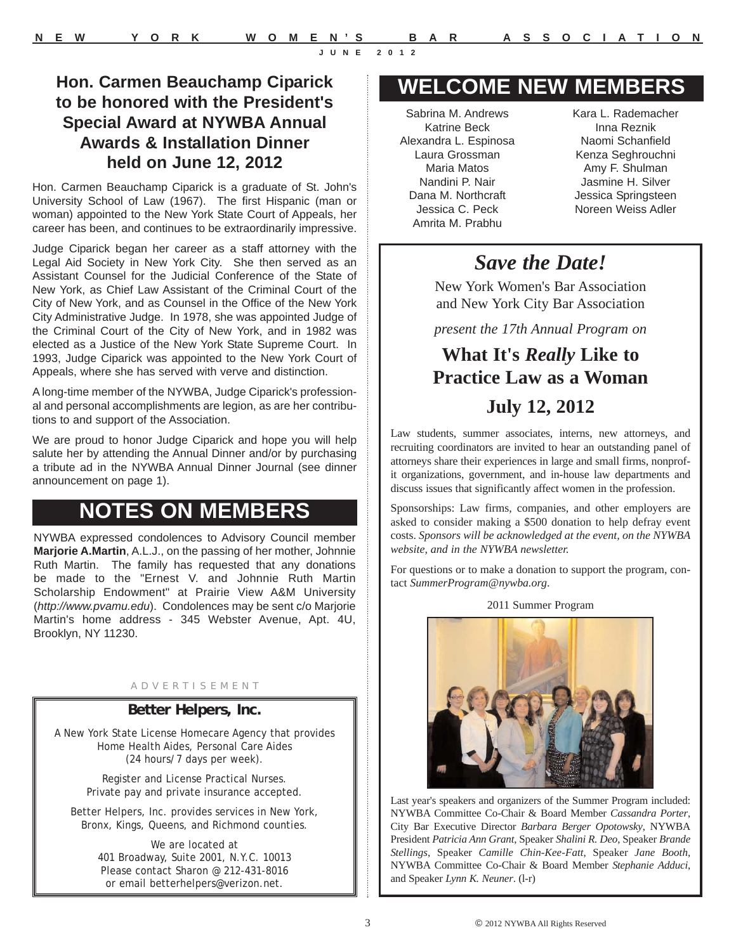Hon. Carmen Beauchamp Ciparick is a graduate of St. John's University School of Law (1967). The first Hispanic (man or woman) appointed to the New York State Court of Appeals, her career has been, and continues to be extraordinarily impressive.

Judge Ciparick began her career as a staff attorney with the Legal Aid Society in New York City. She then served as an Assistant Counsel for the Judicial Conference of the State of New York, as Chief Law Assistant of the Criminal Court of the City of New York, and as Counsel in the Office of the New York City Administrative Judge. In 1978, she was appointed Judge of the Criminal Court of the City of New York, and in 1982 was elected as a Justice of the New York State Supreme Court. In 1993, Judge Ciparick was appointed to the New York Court of Appeals, where she has served with verve and distinction.

A long-time member of the NYWBA, Judge Ciparick's professional and personal accomplishments are legion, as are her contributions to and support of the Association.

We are proud to honor Judge Ciparick and hope you will help salute her by attending the Annual Dinner and/or by purchasing a tribute ad in the NYWBA Annual Dinner Journal (see dinner announcement on page 1).

# **NOTES ON MEMBERS**

NYWBA expressed condolences to Advisory Council member **Marjorie A.Martin**, A.L.J., on the passing of her mother, Johnnie Ruth Martin. The family has requested that any donations be made to the "Ernest V. and Johnnie Ruth Martin Scholarship Endowment" at Prairie View A&M University (*http://www.pvamu.edu*). Condolences may be sent c/o Marjorie Martin's home address - 345 Webster Avenue, Apt. 4U, Brooklyn, NY 11230.

#### A D V E R T I S E M E N T

### **Better Helpers, Inc.**

A New York State License Homecare Agency that provides Home Health Aides, Personal Care Aides (24 hours/7 days per week).

> Register and License Practical Nurses. Private pay and private insurance accepted.

Better Helpers, Inc. provides services in New York, Bronx, Kings, Queens, and Richmond counties.

> We are located at 401 Broadway, Suite 2001, N.Y.C. 10013 Please contact Sharon @ 212-431-8016 or email betterhelpers@verizon.net.

# **WELCOME NEW MEMBERS**

Sabrina M. Andrews Katrine Beck Alexandra L. Espinosa Laura Grossman Maria Matos Nandini P. Nair Dana M. Northcraft Jessica C. Peck Amrita M. Prabhu

Kara L. Rademacher Inna Reznik Naomi Schanfield Kenza Seghrouchni Amy F. Shulman Jasmine H. Silver Jessica Springsteen Noreen Weiss Adler

# *Save the Date!*

New York Women's Bar Association and New York City Bar Association

*present the 17th Annual Program on*

# **What It's** *Really* **Like to Practice Law as a Woman July 12, 2012**

Law students, summer associates, interns, new attorneys, and recruiting coordinators are invited to hear an outstanding panel of attorneys share their experiences in large and small firms, nonprofit organizations, government, and in-house law departments and discuss issues that significantly affect women in the profession.

Sponsorships: Law firms, companies, and other employers are asked to consider making a \$500 donation to help defray event costs. *Sponsors will be acknowledged at the event, on the NYWBA website, and in the NYWBA newsletter.*

For questions or to make a donation to support the program, contact *SummerProgram@nywba.org*.





Last year's speakers and organizers of the Summer Program included: NYWBA Committee Co-Chair & Board Member *Cassandra Porter*, City Bar Executive Director *Barbara Berger Opotowsky*, NYWBA President *Patricia Ann Grant*, Speaker *Shalini R. Deo*, Speaker *Brande Stellings*, Speaker *Camille Chin-Kee-Fatt*, Speaker *Jane Booth*, NYWBA Committee Co-Chair & Board Member *Stephanie Adduci*, and Speaker *Lynn K. Neuner*. (l-r)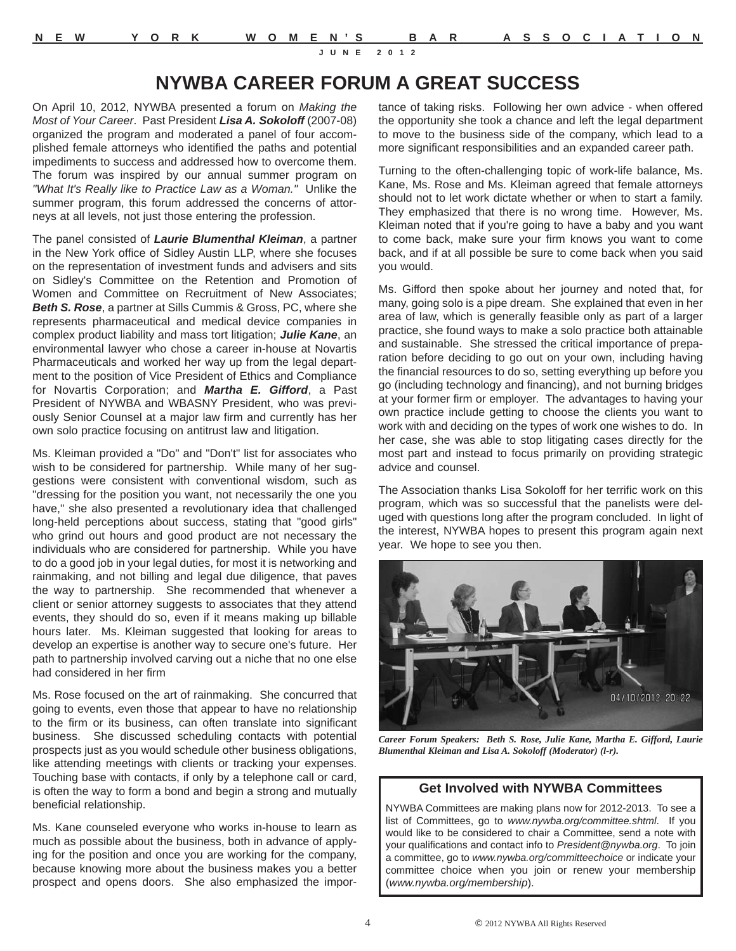# **NYWBA CAREER FORUM A GREAT SUCCESS**

On April 10, 2012, NYWBA presented a forum on *Making the Most of Your Career*. Past President *Lisa A. Sokoloff* (2007-08) organized the program and moderated a panel of four accomplished female attorneys who identified the paths and potential impediments to success and addressed how to overcome them. The forum was inspired by our annual summer program on *"What It's Really like to Practice Law as a Woman."* Unlike the summer program, this forum addressed the concerns of attorneys at all levels, not just those entering the profession.

The panel consisted of *Laurie Blumenthal Kleiman*, a partner in the New York office of Sidley Austin LLP, where she focuses on the representation of investment funds and advisers and sits on Sidley's Committee on the Retention and Promotion of Women and Committee on Recruitment of New Associates; *Beth S. Rose*, a partner at Sills Cummis & Gross, PC, where she represents pharmaceutical and medical device companies in complex product liability and mass tort litigation; *Julie Kane*, an environmental lawyer who chose a career in-house at Novartis Pharmaceuticals and worked her way up from the legal department to the position of Vice President of Ethics and Compliance for Novartis Corporation; and *Martha E. Gifford*, a Past President of NYWBA and WBASNY President, who was previously Senior Counsel at a major law firm and currently has her own solo practice focusing on antitrust law and litigation.

Ms. Kleiman provided a "Do" and "Don't" list for associates who wish to be considered for partnership. While many of her suggestions were consistent with conventional wisdom, such as "dressing for the position you want, not necessarily the one you have," she also presented a revolutionary idea that challenged long-held perceptions about success, stating that "good girls" who grind out hours and good product are not necessary the individuals who are considered for partnership. While you have to do a good job in your legal duties, for most it is networking and rainmaking, and not billing and legal due diligence, that paves the way to partnership. She recommended that whenever a client or senior attorney suggests to associates that they attend events, they should do so, even if it means making up billable hours later. Ms. Kleiman suggested that looking for areas to develop an expertise is another way to secure one's future. Her path to partnership involved carving out a niche that no one else had considered in her firm

Ms. Rose focused on the art of rainmaking. She concurred that going to events, even those that appear to have no relationship to the firm or its business, can often translate into significant business. She discussed scheduling contacts with potential prospects just as you would schedule other business obligations, like attending meetings with clients or tracking your expenses. Touching base with contacts, if only by a telephone call or card, is often the way to form a bond and begin a strong and mutually beneficial relationship.

Ms. Kane counseled everyone who works in-house to learn as much as possible about the business, both in advance of applying for the position and once you are working for the company, because knowing more about the business makes you a better prospect and opens doors. She also emphasized the importance of taking risks. Following her own advice - when offered the opportunity she took a chance and left the legal department to move to the business side of the company, which lead to a more significant responsibilities and an expanded career path.

Turning to the often-challenging topic of work-life balance, Ms. Kane, Ms. Rose and Ms. Kleiman agreed that female attorneys should not to let work dictate whether or when to start a family. They emphasized that there is no wrong time. However, Ms. Kleiman noted that if you're going to have a baby and you want to come back, make sure your firm knows you want to come back, and if at all possible be sure to come back when you said you would.

Ms. Gifford then spoke about her journey and noted that, for many, going solo is a pipe dream. She explained that even in her area of law, which is generally feasible only as part of a larger practice, she found ways to make a solo practice both attainable and sustainable. She stressed the critical importance of preparation before deciding to go out on your own, including having the financial resources to do so, setting everything up before you go (including technology and financing), and not burning bridges at your former firm or employer. The advantages to having your own practice include getting to choose the clients you want to work with and deciding on the types of work one wishes to do. In her case, she was able to stop litigating cases directly for the most part and instead to focus primarily on providing strategic advice and counsel.

The Association thanks Lisa Sokoloff for her terrific work on this program, which was so successful that the panelists were deluged with questions long after the program concluded. In light of the interest, NYWBA hopes to present this program again next year. We hope to see you then.



*Career Forum Speakers: Beth S. Rose, Julie Kane, Martha E. Gifford, Laurie Blumenthal Kleiman and Lisa A. Sokoloff (Moderator) (l-r).*

### **Get Involved with NYWBA Committees**

NYWBA Committees are making plans now for 2012-2013. To see a list of Committees, go to *www.nywba.org/committee.shtml*. If you would like to be considered to chair a Committee, send a note with your qualifications and contact info to *President@nywba.org*. To join a committee, go to *www.nywba.org/committeechoice* or indicate your committee choice when you join or renew your membership (*www.nywba.org/membership*).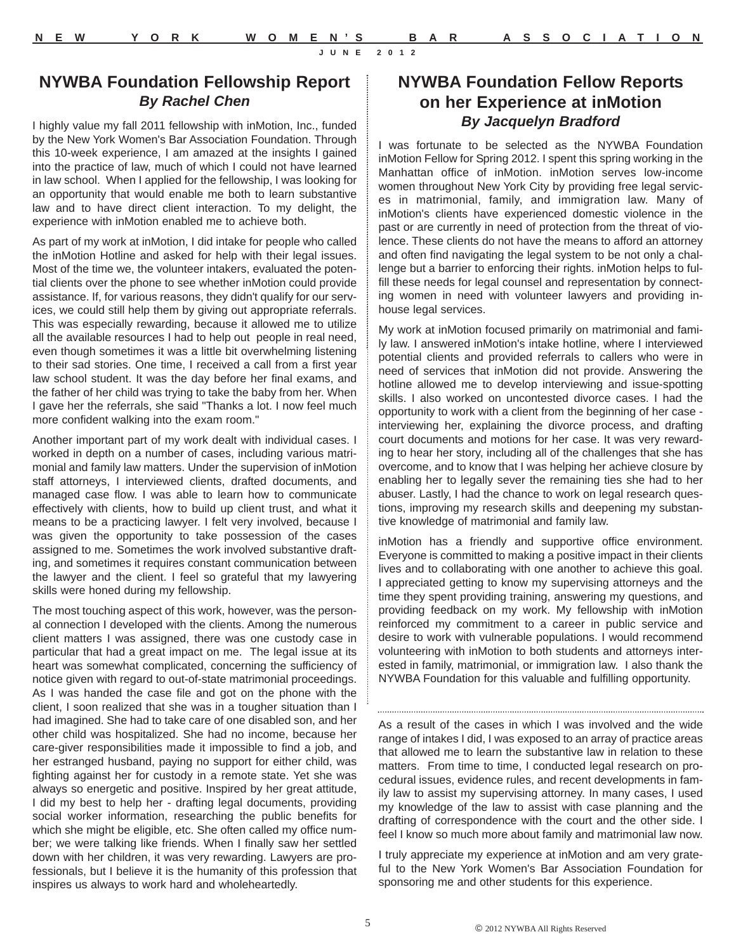### **NYWBA Foundation Fellowship Report** *By Rachel Chen*

I highly value my fall 2011 fellowship with inMotion, Inc., funded by the New York Women's Bar Association Foundation. Through this 10-week experience, I am amazed at the insights I gained into the practice of law, much of which I could not have learned in law school. When I applied for the fellowship, I was looking for an opportunity that would enable me both to learn substantive law and to have direct client interaction. To my delight, the experience with inMotion enabled me to achieve both.

As part of my work at inMotion, I did intake for people who called the inMotion Hotline and asked for help with their legal issues. Most of the time we, the volunteer intakers, evaluated the potential clients over the phone to see whether inMotion could provide assistance. If, for various reasons, they didn't qualify for our services, we could still help them by giving out appropriate referrals. This was especially rewarding, because it allowed me to utilize all the available resources I had to help out people in real need, even though sometimes it was a little bit overwhelming listening to their sad stories. One time, I received a call from a first year law school student. It was the day before her final exams, and the father of her child was trying to take the baby from her. When I gave her the referrals, she said "Thanks a lot. I now feel much more confident walking into the exam room."

Another important part of my work dealt with individual cases. I worked in depth on a number of cases, including various matrimonial and family law matters. Under the supervision of inMotion staff attorneys, I interviewed clients, drafted documents, and managed case flow. I was able to learn how to communicate effectively with clients, how to build up client trust, and what it means to be a practicing lawyer. I felt very involved, because I was given the opportunity to take possession of the cases assigned to me. Sometimes the work involved substantive drafting, and sometimes it requires constant communication between the lawyer and the client. I feel so grateful that my lawyering skills were honed during my fellowship.

The most touching aspect of this work, however, was the personal connection I developed with the clients. Among the numerous client matters I was assigned, there was one custody case in particular that had a great impact on me. The legal issue at its heart was somewhat complicated, concerning the sufficiency of notice given with regard to out-of-state matrimonial proceedings. As I was handed the case file and got on the phone with the client, I soon realized that she was in a tougher situation than I had imagined. She had to take care of one disabled son, and her other child was hospitalized. She had no income, because her care-giver responsibilities made it impossible to find a job, and her estranged husband, paying no support for either child, was fighting against her for custody in a remote state. Yet she was always so energetic and positive. Inspired by her great attitude, I did my best to help her - drafting legal documents, providing social worker information, researching the public benefits for which she might be eligible, etc. She often called my office number; we were talking like friends. When I finally saw her settled down with her children, it was very rewarding. Lawyers are professionals, but I believe it is the humanity of this profession that inspires us always to work hard and wholeheartedly.

## **NYWBA Foundation Fellow Reports on her Experience at inMotion** *By Jacquelyn Bradford*

I was fortunate to be selected as the NYWBA Foundation inMotion Fellow for Spring 2012. I spent this spring working in the Manhattan office of inMotion. inMotion serves low-income women throughout New York City by providing free legal services in matrimonial, family, and immigration law. Many of inMotion's clients have experienced domestic violence in the past or are currently in need of protection from the threat of violence. These clients do not have the means to afford an attorney and often find navigating the legal system to be not only a challenge but a barrier to enforcing their rights. inMotion helps to fulfill these needs for legal counsel and representation by connecting women in need with volunteer lawyers and providing inhouse legal services.

My work at inMotion focused primarily on matrimonial and family law. I answered inMotion's intake hotline, where I interviewed potential clients and provided referrals to callers who were in need of services that inMotion did not provide. Answering the hotline allowed me to develop interviewing and issue-spotting skills. I also worked on uncontested divorce cases. I had the opportunity to work with a client from the beginning of her case interviewing her, explaining the divorce process, and drafting court documents and motions for her case. It was very rewarding to hear her story, including all of the challenges that she has overcome, and to know that I was helping her achieve closure by enabling her to legally sever the remaining ties she had to her abuser. Lastly, I had the chance to work on legal research questions, improving my research skills and deepening my substantive knowledge of matrimonial and family law.

inMotion has a friendly and supportive office environment. Everyone is committed to making a positive impact in their clients lives and to collaborating with one another to achieve this goal. I appreciated getting to know my supervising attorneys and the time they spent providing training, answering my questions, and providing feedback on my work. My fellowship with inMotion reinforced my commitment to a career in public service and desire to work with vulnerable populations. I would recommend volunteering with inMotion to both students and attorneys interested in family, matrimonial, or immigration law. I also thank the NYWBA Foundation for this valuable and fulfilling opportunity.

As a result of the cases in which I was involved and the wide range of intakes I did, I was exposed to an array of practice areas that allowed me to learn the substantive law in relation to these matters. From time to time, I conducted legal research on procedural issues, evidence rules, and recent developments in family law to assist my supervising attorney. In many cases, I used my knowledge of the law to assist with case planning and the drafting of correspondence with the court and the other side. I feel I know so much more about family and matrimonial law now.

I truly appreciate my experience at inMotion and am very grateful to the New York Women's Bar Association Foundation for sponsoring me and other students for this experience.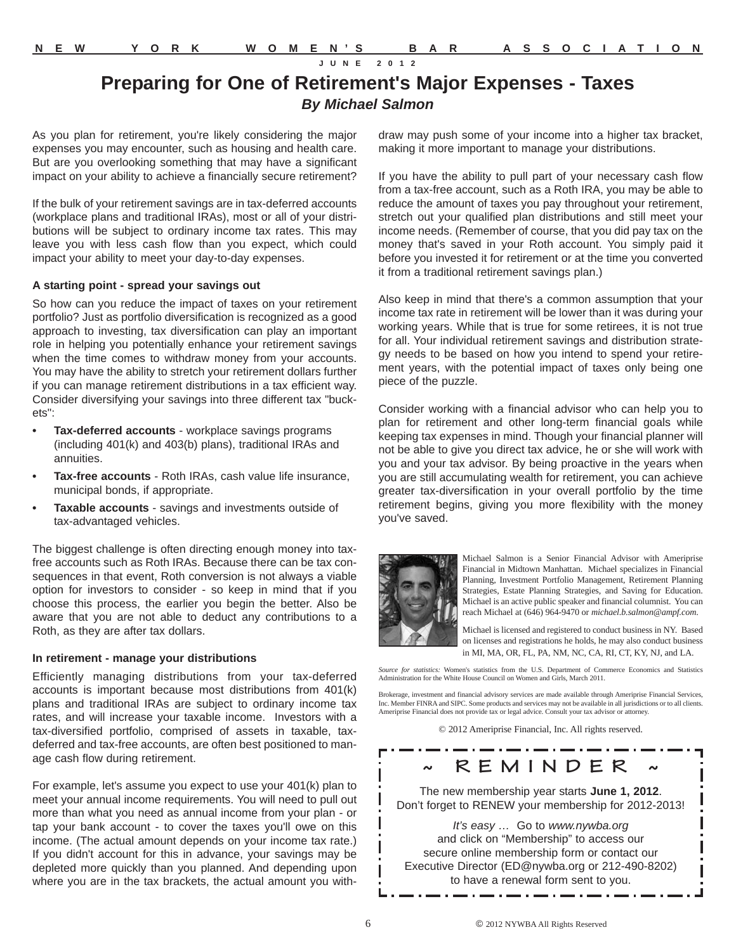## **Preparing for One of Retirement's Major Expenses - Taxes** *By Michael Salmon*

As you plan for retirement, you're likely considering the major expenses you may encounter, such as housing and health care. But are you overlooking something that may have a significant impact on your ability to achieve a financially secure retirement?

If the bulk of your retirement savings are in tax-deferred accounts (workplace plans and traditional IRAs), most or all of your distributions will be subject to ordinary income tax rates. This may leave you with less cash flow than you expect, which could impact your ability to meet your day-to-day expenses.

#### **A starting point - spread your savings out**

So how can you reduce the impact of taxes on your retirement portfolio? Just as portfolio diversification is recognized as a good approach to investing, tax diversification can play an important role in helping you potentially enhance your retirement savings when the time comes to withdraw money from your accounts. You may have the ability to stretch your retirement dollars further if you can manage retirement distributions in a tax efficient way. Consider diversifying your savings into three different tax "buckets":

- **Tax-deferred accounts** workplace savings programs (including 401(k) and 403(b) plans), traditional IRAs and annuities.
- **Tax-free accounts** Roth IRAs, cash value life insurance, municipal bonds, if appropriate.
- **Taxable accounts** savings and investments outside of tax-advantaged vehicles.

The biggest challenge is often directing enough money into taxfree accounts such as Roth IRAs. Because there can be tax consequences in that event, Roth conversion is not always a viable option for investors to consider - so keep in mind that if you choose this process, the earlier you begin the better. Also be aware that you are not able to deduct any contributions to a Roth, as they are after tax dollars.

#### **In retirement - manage your distributions**

Efficiently managing distributions from your tax-deferred accounts is important because most distributions from 401(k) plans and traditional IRAs are subject to ordinary income tax rates, and will increase your taxable income. Investors with a tax-diversified portfolio, comprised of assets in taxable, taxdeferred and tax-free accounts, are often best positioned to manage cash flow during retirement.

For example, let's assume you expect to use your 401(k) plan to meet your annual income requirements. You will need to pull out more than what you need as annual income from your plan - or tap your bank account - to cover the taxes you'll owe on this income. (The actual amount depends on your income tax rate.) If you didn't account for this in advance, your savings may be depleted more quickly than you planned. And depending upon where you are in the tax brackets, the actual amount you withdraw may push some of your income into a higher tax bracket, making it more important to manage your distributions.

If you have the ability to pull part of your necessary cash flow from a tax-free account, such as a Roth IRA, you may be able to reduce the amount of taxes you pay throughout your retirement, stretch out your qualified plan distributions and still meet your income needs. (Remember of course, that you did pay tax on the money that's saved in your Roth account. You simply paid it before you invested it for retirement or at the time you converted it from a traditional retirement savings plan.)

Also keep in mind that there's a common assumption that your income tax rate in retirement will be lower than it was during your working years. While that is true for some retirees, it is not true for all. Your individual retirement savings and distribution strategy needs to be based on how you intend to spend your retirement years, with the potential impact of taxes only being one piece of the puzzle.

Consider working with a financial advisor who can help you to plan for retirement and other long-term financial goals while keeping tax expenses in mind. Though your financial planner will not be able to give you direct tax advice, he or she will work with you and your tax advisor. By being proactive in the years when you are still accumulating wealth for retirement, you can achieve greater tax-diversification in your overall portfolio by the time retirement begins, giving you more flexibility with the money you've saved.



Michael Salmon is a Senior Financial Advisor with Ameriprise Financial in Midtown Manhattan. Michael specializes in Financial Planning, Investment Portfolio Management, Retirement Planning Strategies, Estate Planning Strategies, and Saving for Education. Michael is an active public speaker and financial columnist. You can reach Michael at (646) 964-9470 or *michael.b.salmon@ampf.com*.

Michael is licensed and registered to conduct business in NY. Based on licenses and registrations he holds, he may also conduct business in MI, MA, OR, FL, PA, NM, NC, CA, RI, CT, KY, NJ, and LA.

*Source for statistics:* Women's statistics from the U.S. Department of Commerce Economics and Statistics Administration for the White House Council on Women and Girls, March 2011.

Brokerage, investment and financial advisory services are made available through Ameriprise Financial Services, Inc. Member FINRA and SIPC. Some products and services may not be available in all jurisdictions or to all clients. Ameriprise Financial does not provide tax or legal advice. Consult your tax advisor or attorney.

© 2012 Ameriprise Financial, Inc. All rights reserved.

. . . . . . . . . . . . . . . . . . .

**~ REMINDER ~** The new membership year starts **June 1, 2012**. Don't forget to RENEW your membership for 2012-2013!

*It's easy …* Go to *www.nywba.org* and click on "Membership" to access our secure online membership form or contact our Executive Director (ED@nywba.org or 212-490-8202) to have a renewal form sent to you.

ı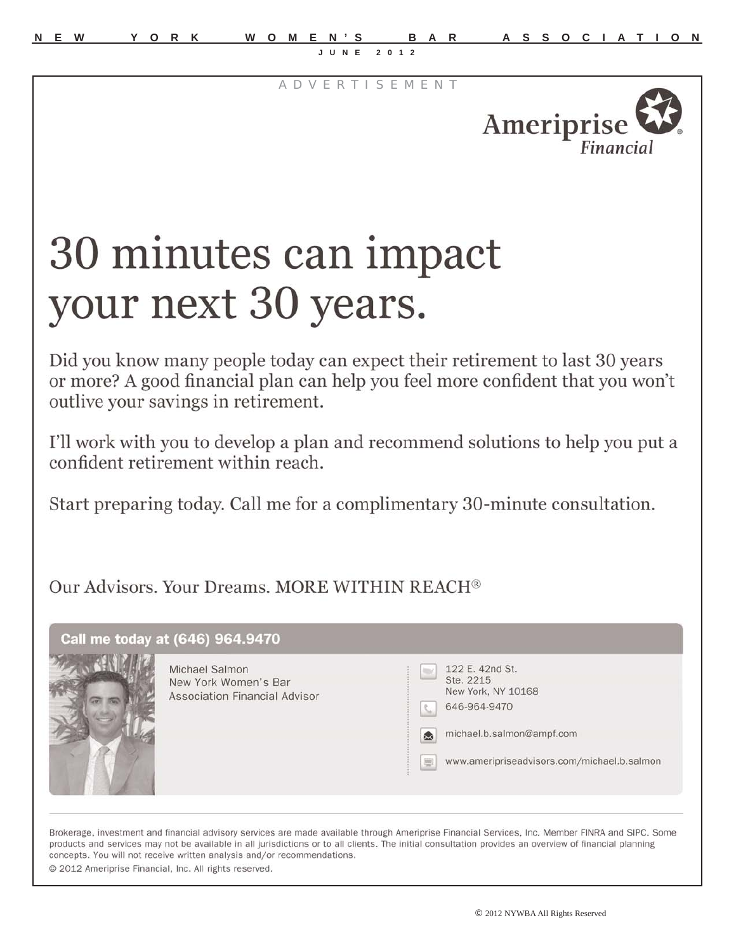A D V E R T I S E M E N T



# 30 minutes can impact your next 30 years.

Did you know many people today can expect their retirement to last 30 years or more? A good financial plan can help you feel more confident that you won't outlive your savings in retirement.

I'll work with you to develop a plan and recommend solutions to help you put a confident retirement within reach.

Start preparing today. Call me for a complimentary 30-minute consultation.

Our Advisors, Your Dreams, MORE WITHIN REACH<sup>®</sup>

| Call me today at (646) 964.9470<br>Michael Salmon<br>New York Women's Bar<br><b>Association Financial Advisor</b> | 122 E. 42nd St.<br><b>ISK</b><br>Ste. 2215<br>New York, NY 10168<br>646-964-9470<br>L.<br>michael.b.salmon@ampf.com<br>◎<br>www.ameripriseadvisors.com/michael.b.salmon<br>$\frac{1}{2}$ |  |
|-------------------------------------------------------------------------------------------------------------------|------------------------------------------------------------------------------------------------------------------------------------------------------------------------------------------|--|
|                                                                                                                   |                                                                                                                                                                                          |  |

Brokerage, investment and financial advisory services are made available through Ameriprise Financial Services, Inc. Member FINRA and SIPC. Some products and services may not be available in all jurisdictions or to all clients. The initial consultation provides an overview of financial planning concepts. You will not receive written analysis and/or recommendations. © 2012 Ameriprise Financial, Inc. All rights reserved.